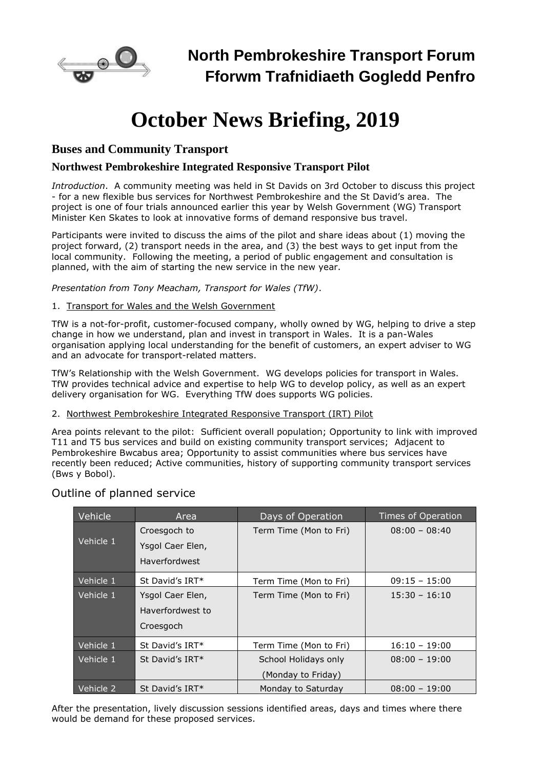

# **October News Briefing, 2019**

# **Buses and Community Transport**

### **Northwest Pembrokeshire Integrated Responsive Transport Pilot**

*Introduction*. A community meeting was held in St Davids on 3rd October to discuss this project - for a new flexible bus services for Northwest Pembrokeshire and the St David's area. The project is one of four trials announced earlier this year by Welsh Government (WG) Transport Minister Ken Skates to look at innovative forms of demand responsive bus travel.

Participants were invited to discuss the aims of the pilot and share ideas about (1) moving the project forward, (2) transport needs in the area, and (3) the best ways to get input from the local community. Following the meeting, a period of public engagement and consultation is planned, with the aim of starting the new service in the new year.

*Presentation from Tony Meacham, Transport for Wales (TfW)*.

#### 1. Transport for Wales and the Welsh Government

TfW is a not-for-profit, customer-focused company, wholly owned by WG, helping to drive a step change in how we understand, plan and invest in transport in Wales. It is a pan-Wales organisation applying local understanding for the benefit of customers, an expert adviser to WG and an advocate for transport-related matters.

TfW's Relationship with the Welsh Government. WG develops policies for transport in Wales. TfW provides technical advice and expertise to help WG to develop policy, as well as an expert delivery organisation for WG. Everything TfW does supports WG policies.

#### 2. Northwest Pembrokeshire Integrated Responsive Transport (IRT) Pilot

Area points relevant to the pilot: Sufficient overall population; Opportunity to link with improved T11 and T5 bus services and build on existing community transport services; Adjacent to Pembrokeshire Bwcabus area; Opportunity to assist communities where bus services have recently been reduced; Active communities, history of supporting community transport services (Bws y Bobol).

| Vehicle   | Area                 | Days of Operation      | Times of Operation |
|-----------|----------------------|------------------------|--------------------|
| Vehicle 1 | Croesgoch to         | Term Time (Mon to Fri) | $08:00 - 08:40$    |
|           | Ysgol Caer Elen,     |                        |                    |
|           | <b>Haverfordwest</b> |                        |                    |
| Vehicle 1 | St David's IRT*      | Term Time (Mon to Fri) | $09:15 - 15:00$    |
| Vehicle 1 | Ysgol Caer Elen,     | Term Time (Mon to Fri) | $15:30 - 16:10$    |
|           | Haverfordwest to     |                        |                    |
|           | Croesgoch            |                        |                    |
| Vehicle 1 | St David's IRT*      | Term Time (Mon to Fri) | $16:10 - 19:00$    |
| Vehicle 1 | St David's IRT*      | School Holidays only   | $08:00 - 19:00$    |
|           |                      | (Monday to Friday)     |                    |
| Vehicle 2 | St David's IRT*      | Monday to Saturday     | $08:00 - 19:00$    |

## Outline of planned service

After the presentation, lively discussion sessions identified areas, days and times where there would be demand for these proposed services.